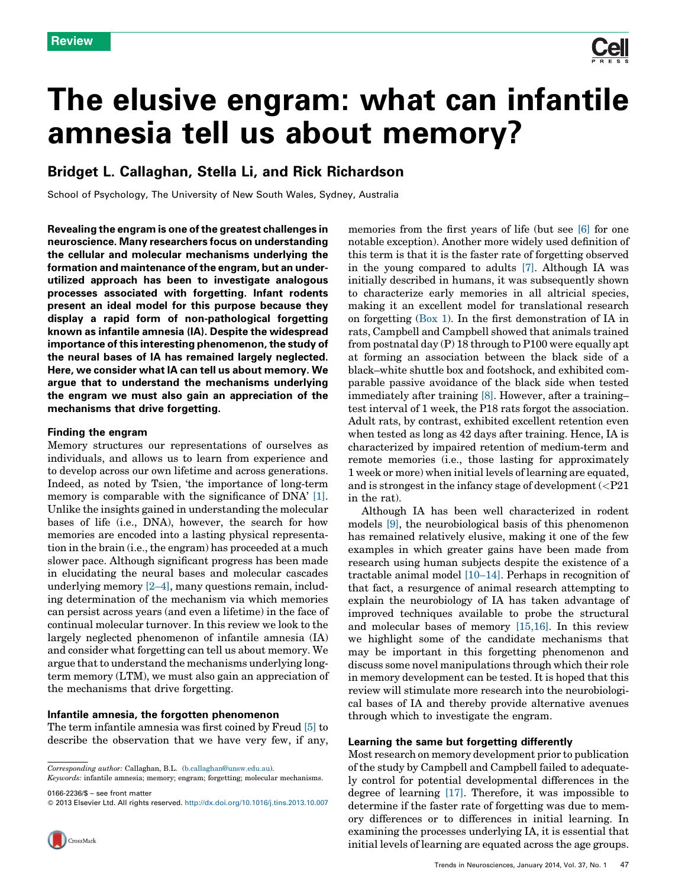

# The elusive engram: what can infantile amnesia tell us about memory?

# Bridget L. Callaghan, Stella Li, and Rick Richardson

School of Psychology, The University of New South Wales, Sydney, Australia

Revealing the engram is one of the greatest challenges in neuroscience. Many researchers focus on understanding the cellular and molecular mechanisms underlying the formation and maintenance of the engram, but an underutilized approach has been to investigate analogous processes associated with forgetting. Infant rodents present an ideal model for this purpose because they display a rapid form of non-pathological forgetting known as infantile amnesia (IA). Despite the widespread importance of this interesting phenomenon, the study of the neural bases of IA has remained largely neglected. Here, we consider what IA can tell us about memory. We argue that to understand the mechanisms underlying the engram we must also gain an appreciation of the mechanisms that drive forgetting.

# Finding the engram

Memory structures our representations of ourselves as individuals, and allows us to learn from experience and to develop across our own lifetime and across generations. Indeed, as noted by Tsien, 'the importance of long-term memory is comparable with the significance of DNA' [\[1\]](#page-5-0). Unlike the insights gained in understanding the molecular bases of life (i.e., DNA), however, the search for how memories are encoded into a lasting physical representation in the brain (i.e., the engram) has proceeded at a much slower pace. Although significant progress has been made in elucidating the neural bases and molecular cascades underlying memory [\[2–4\],](#page-5-0) many questions remain, including determination of the mechanism via which memories can persist across years (and even a lifetime) in the face of continual molecular turnover. In this review we look to the largely neglected phenomenon of infantile amnesia (IA) and consider what forgetting can tell us about memory. We argue that to understand the mechanisms underlying longterm memory (LTM), we must also gain an appreciation of the mechanisms that drive forgetting.

#### Infantile amnesia, the forgotten phenomenon

The term infantile amnesia was first coined by Freud [\[5\]](#page-5-0) to describe the observation that we have very few, if any,

Corresponding author: Callaghan, B.L. [\(b.callaghan@unsw.edu.au\)](mailto:b.callaghan@unsw.edu.au).

© 2013 Elsevier Ltd. All rights reserved. <http://dx.doi.org/10.1016/j.tins.2013.10.007>



memories from the first years of life (but see [\[6\]](#page-5-0) for one notable exception). Another more widely used definition of this term is that it is the faster rate of forgetting observed in the young compared to adults [\[7\]](#page-5-0). Although IA was initially described in humans, it was subsequently shown to characterize early memories in all altricial species, making it an excellent model for translational research on forgetting ([Box](#page-1-0) 1). In the first demonstration of IA in rats, Campbell and Campbell showed that animals trained from postnatal day (P) 18 through to P100 were equally apt at forming an association between the black side of a black–white shuttle box and footshock, and exhibited comparable passive avoidance of the black side when tested immediately after training [\[8\].](#page-5-0) However, after a training– test interval of 1 week, the P18 rats forgot the association. Adult rats, by contrast, exhibited excellent retention even when tested as long as 42 days after training. Hence, IA is characterized by impaired retention of medium-term and remote memories (i.e., those lasting for approximately 1 week or more) when initial levels of learning are equated, and is strongest in the infancy stage of development  $\langle$  <P21 in the rat).

Although IA has been well characterized in rodent models [\[9\],](#page-5-0) the neurobiological basis of this phenomenon has remained relatively elusive, making it one of the few examples in which greater gains have been made from research using human subjects despite the existence of a tractable animal model [\[10–14\].](#page-5-0) Perhaps in recognition of that fact, a resurgence of animal research attempting to explain the neurobiology of IA has taken advantage of improved techniques available to probe the structural and molecular bases of memory [\[15,16\].](#page-5-0) In this review we highlight some of the candidate mechanisms that may be important in this forgetting phenomenon and discuss some novel manipulations through which their role in memory development can be tested. It is hoped that this review will stimulate more research into the neurobiological bases of IA and thereby provide alternative avenues through which to investigate the engram.

## Learning the same but forgetting differently

Most research on memory development prior to publication of the study by Campbell and Campbell failed to adequately control for potential developmental differences in the degree of learning [\[17\].](#page-5-0) Therefore, it was impossible to determine if the faster rate of forgetting was due to memory differences or to differences in initial learning. In examining the processes underlying IA, it is essential that initial levels of learning are equated across the age groups.

<sup>0166-2236/\$</sup> – see front matter Keywords: infantile amnesia; memory; engram; forgetting; molecular mechanisms.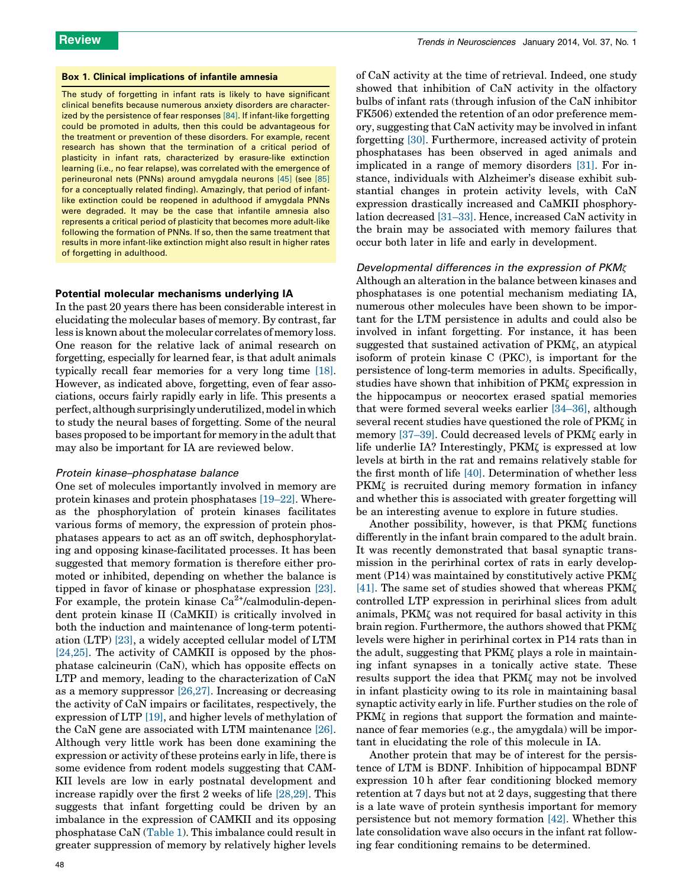#### <span id="page-1-0"></span>Box 1. Clinical implications of infantile amnesia

The study of forgetting in infant rats is likely to have significant clinical benefits because numerous anxiety disorders are characterized by the persistence of fear responses [\[84\].](#page-6-0) If infant-like forgetting could be promoted in adults, then this could be advantageous for the treatment or prevention of these disorders. For example, recent research has shown that the termination of a critical period of plasticity in infant rats, characterized by erasure-like extinction learning (i.e., no fear relapse), was correlated with the emergence of perineuronal nets (PNNs) around amygdala neurons [\[45\]](#page-5-0) (see [\[85\]](#page-6-0) for a conceptually related finding). Amazingly, that period of infantlike extinction could be reopened in adulthood if amygdala PNNs were degraded. It may be the case that infantile amnesia also represents a critical period of plasticity that becomes more adult-like following the formation of PNNs. If so, then the same treatment that results in more infant-like extinction might also result in higher rates of forgetting in adulthood.

## Potential molecular mechanisms underlying IA

In the past 20 years there has been considerable interest in elucidating the molecular bases of memory. By contrast, far less is known about the molecular correlates of memory loss. One reason for the relative lack of animal research on forgetting, especially for learned fear, is that adult animals typically recall fear memories for a very long time [\[18\]](#page-5-0). However, as indicated above, forgetting, even of fear associations, occurs fairly rapidly early in life. This presents a perfect, although surprisingly underutilized, model in which to study the neural bases of forgetting. Some of the neural bases proposed to be important for memory in the adult that may also be important for IA are reviewed below.

#### Protein kinase–phosphatase balance

One set of molecules importantly involved in memory are protein kinases and protein phosphatases [\[19–22\]](#page-5-0). Whereas the phosphorylation of protein kinases facilitates various forms of memory, the expression of protein phosphatases appears to act as an off switch, dephosphorylating and opposing kinase-facilitated processes. It has been suggested that memory formation is therefore either promoted or inhibited, depending on whether the balance is tipped in favor of kinase or phosphatase expression [\[23\]](#page-5-0). For example, the protein kinase  $Ca^{2+}/cal$ calmodulin-dependent protein kinase II (CaMKII) is critically involved in both the induction and maintenance of long-term potentiation (LTP) [\[23\]](#page-5-0), a widely accepted cellular model of LTM [\[24,25\]](#page-5-0). The activity of CAMKII is opposed by the phosphatase calcineurin (CaN), which has opposite effects on LTP and memory, leading to the characterization of CaN as a memory suppressor [\[26,27\]](#page-5-0). Increasing or decreasing the activity of CaN impairs or facilitates, respectively, the expression of LTP [\[19\]](#page-5-0), and higher levels of methylation of the CaN gene are associated with LTM maintenance [\[26\]](#page-5-0). Although very little work has been done examining the expression or activity of these proteins early in life, there is some evidence from rodent models suggesting that CAM-KII levels are low in early postnatal development and increase rapidly over the first 2 weeks of life [\[28,29\].](#page-5-0) This suggests that infant forgetting could be driven by an imbalance in the expression of CAMKII and its opposing phosphatase CaN [\(Table](#page-2-0) 1). This imbalance could result in greater suppression of memory by relatively higher levels of CaN activity at the time of retrieval. Indeed, one study showed that inhibition of CaN activity in the olfactory bulbs of infant rats (through infusion of the CaN inhibitor FK506) extended the retention of an odor preference memory, suggesting that CaN activity may be involved in infant forgetting [\[30\].](#page-5-0) Furthermore, increased activity of protein phosphatases has been observed in aged animals and implicated in a range of memory disorders [\[31\].](#page-5-0) For instance, individuals with Alzheimer's disease exhibit substantial changes in protein activity levels, with CaN expression drastically increased and CaMKII phosphorylation decreased [\[31–33\]](#page-5-0). Hence, increased CaN activity in the brain may be associated with memory failures that occur both later in life and early in development.

# Developmental differences in the expression of PKM

Although an alteration in the balance between kinases and phosphatases is one potential mechanism mediating IA, numerous other molecules have been shown to be important for the LTM persistence in adults and could also be involved in infant forgetting. For instance, it has been suggested that sustained activation of PKMz, an atypical isoform of protein kinase C (PKC), is important for the persistence of long-term memories in adults. Specifically, studies have shown that inhibition of PKM $\zeta$  expression in the hippocampus or neocortex erased spatial memories that were formed several weeks earlier [\[34–36\]](#page-5-0), although several recent studies have questioned the role of PKM $\zeta$  in memory [\[37–39\]](#page-5-0). Could decreased levels of PKM $\zeta$  early in life underlie IA? Interestingly, PKM $\zeta$  is expressed at low levels at birth in the rat and remains relatively stable for the first month of life [\[40\]](#page-5-0). Determination of whether less PKM $\zeta$  is recruited during memory formation in infancy and whether this is associated with greater forgetting will be an interesting avenue to explore in future studies.

Another possibility, however, is that PKM $\zeta$  functions differently in the infant brain compared to the adult brain. It was recently demonstrated that basal synaptic transmission in the perirhinal cortex of rats in early development  $(P14)$  was maintained by constitutively active PKM $\zeta$ [\[41\]](#page-5-0). The same set of studies showed that whereas  $PKM\zeta$ controlled LTP expression in perirhinal slices from adult animals, PKMz was not required for basal activity in this brain region. Furthermore, the authors showed that PKM levels were higher in perirhinal cortex in P14 rats than in the adult, suggesting that PKMz plays a role in maintaining infant synapses in a tonically active state. These results support the idea that PKMz may not be involved in infant plasticity owing to its role in maintaining basal synaptic activity early in life. Further studies on the role of PKM $\zeta$  in regions that support the formation and maintenance of fear memories (e.g., the amygdala) will be important in elucidating the role of this molecule in IA.

Another protein that may be of interest for the persistence of LTM is BDNF. Inhibition of hippocampal BDNF expression 10 h after fear conditioning blocked memory retention at 7 days but not at 2 days, suggesting that there is a late wave of protein synthesis important for memory persistence but not memory formation [\[42\]](#page-5-0). Whether this late consolidation wave also occurs in the infant rat following fear conditioning remains to be determined.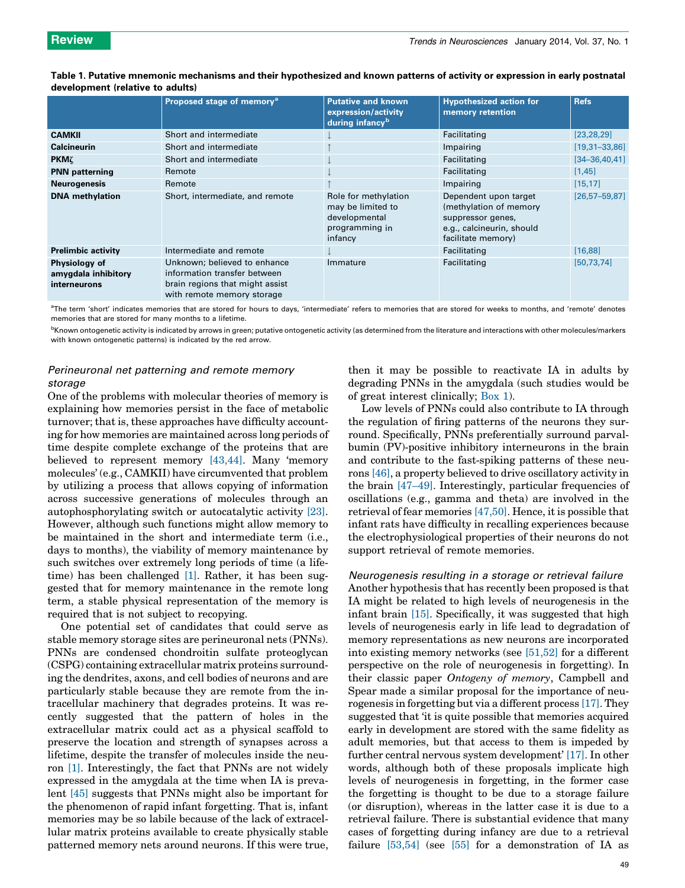|                                                      | Proposed stage of memory <sup>a</sup>                                                                                         | <b>Putative and known</b><br>expression/activity<br>during infancy <sup>b</sup>         | <b>Hypothesized action for</b><br>memory retention                                                                      | <b>Refs</b>         |
|------------------------------------------------------|-------------------------------------------------------------------------------------------------------------------------------|-----------------------------------------------------------------------------------------|-------------------------------------------------------------------------------------------------------------------------|---------------------|
| <b>CAMKII</b>                                        | Short and intermediate                                                                                                        |                                                                                         | Facilitating                                                                                                            | [23, 28, 29]        |
| <b>Calcineurin</b>                                   | Short and intermediate                                                                                                        |                                                                                         | Impairing                                                                                                               | $[19, 31 - 33, 86]$ |
| <b>ΡΚΜζ</b>                                          | Short and intermediate                                                                                                        |                                                                                         | Facilitating                                                                                                            | $[34 - 36, 40, 41]$ |
| <b>PNN</b> patterning                                | Remote                                                                                                                        |                                                                                         | Facilitating                                                                                                            | [1,45]              |
| <b>Neurogenesis</b>                                  | Remote                                                                                                                        |                                                                                         | Impairing                                                                                                               | [15, 17]            |
| <b>DNA</b> methylation                               | Short, intermediate, and remote                                                                                               | Role for methylation<br>may be limited to<br>developmental<br>programming in<br>infancy | Dependent upon target<br>(methylation of memory<br>suppressor genes,<br>e.g., calcineurin, should<br>facilitate memory) | $[26, 57 - 59, 87]$ |
| <b>Prelimbic activity</b>                            | Intermediate and remote                                                                                                       |                                                                                         | Facilitating                                                                                                            | [16, 88]            |
| Physiology of<br>amygdala inhibitory<br>interneurons | Unknown; believed to enhance<br>information transfer between<br>brain regions that might assist<br>with remote memory storage | Immature                                                                                | Facilitating                                                                                                            | [50, 73, 74]        |

<span id="page-2-0"></span>Table 1. Putative mnemonic mechanisms and their hypothesized and known patterns of activity or expression in early postnatal development (relative to adults)

<sup>a</sup>The term 'short' indicates memories that are stored for hours to days, 'intermediate' refers to memories that are stored for weeks to months, and 'remote' denotes memories that are stored for many months to a lifetime.

<sup>b</sup>Known ontogenetic activity is indicated by arrows in green; putative ontogenetic activity (as determined from the literature and interactions with other molecules/markers with known ontogenetic patterns) is indicated by the red arrow.

# Perineuronal net patterning and remote memory storage

One of the problems with molecular theories of memory is explaining how memories persist in the face of metabolic turnover; that is, these approaches have difficulty accounting for how memories are maintained across long periods of time despite complete exchange of the proteins that are believed to represent memory [\[43,44\]](#page-5-0). Many 'memory molecules' (e.g., CAMKII) have circumvented that problem by utilizing a process that allows copying of information across successive generations of molecules through an autophosphorylating switch or autocatalytic activity [\[23\]](#page-5-0). However, although such functions might allow memory to be maintained in the short and intermediate term (i.e., days to months), the viability of memory maintenance by such switches over extremely long periods of time (a lifetime) has been challenged [\[1\]](#page-5-0). Rather, it has been suggested that for memory maintenance in the remote long term, a stable physical representation of the memory is required that is not subject to recopying.

One potential set of candidates that could serve as stable memory storage sites are perineuronal nets (PNNs). PNNs are condensed chondroitin sulfate proteoglycan (CSPG) containing extracellular matrix proteins surrounding the dendrites, axons, and cell bodies of neurons and are particularly stable because they are remote from the intracellular machinery that degrades proteins. It was recently suggested that the pattern of holes in the extracellular matrix could act as a physical scaffold to preserve the location and strength of synapses across a lifetime, despite the transfer of molecules inside the neuron [\[1\]](#page-5-0). Interestingly, the fact that PNNs are not widely expressed in the amygdala at the time when IA is prevalent [\[45\]](#page-5-0) suggests that PNNs might also be important for the phenomenon of rapid infant forgetting. That is, infant memories may be so labile because of the lack of extracellular matrix proteins available to create physically stable patterned memory nets around neurons. If this were true,

then it may be possible to reactivate IA in adults by degrading PNNs in the amygdala (such studies would be of great interest clinically; [Box](#page-1-0) 1).

Low levels of PNNs could also contribute to IA through the regulation of firing patterns of the neurons they surround. Specifically, PNNs preferentially surround parvalbumin (PV)-positive inhibitory interneurons in the brain and contribute to the fast-spiking patterns of these neurons [\[46\]](#page-5-0), a property believed to drive oscillatory activity in the brain  $[47-49]$ . Interestingly, particular frequencies of oscillations (e.g., gamma and theta) are involved in the retrieval of fear memories [\[47,50\].](#page-5-0) Hence, it is possible that infant rats have difficulty in recalling experiences because the electrophysiological properties of their neurons do not support retrieval of remote memories.

Neurogenesis resulting in a storage or retrieval failure Another hypothesis that has recently been proposed is that IA might be related to high levels of neurogenesis in the infant brain [\[15\]](#page-5-0). Specifically, it was suggested that high levels of neurogenesis early in life lead to degradation of memory representations as new neurons are incorporated into existing memory networks (see [\[51,52\]](#page-5-0) for a different perspective on the role of neurogenesis in forgetting). In their classic paper Ontogeny of memory, Campbell and Spear made a similar proposal for the importance of neurogenesis in forgetting but via a different process [\[17\]](#page-5-0). They suggested that 'it is quite possible that memories acquired early in development are stored with the same fidelity as adult memories, but that access to them is impeded by further central nervous system development' [\[17\]](#page-5-0). In other words, although both of these proposals implicate high levels of neurogenesis in forgetting, in the former case the forgetting is thought to be due to a storage failure (or disruption), whereas in the latter case it is due to a retrieval failure. There is substantial evidence that many cases of forgetting during infancy are due to a retrieval failure  $[53,54]$  (see  $[55]$  for a demonstration of IA as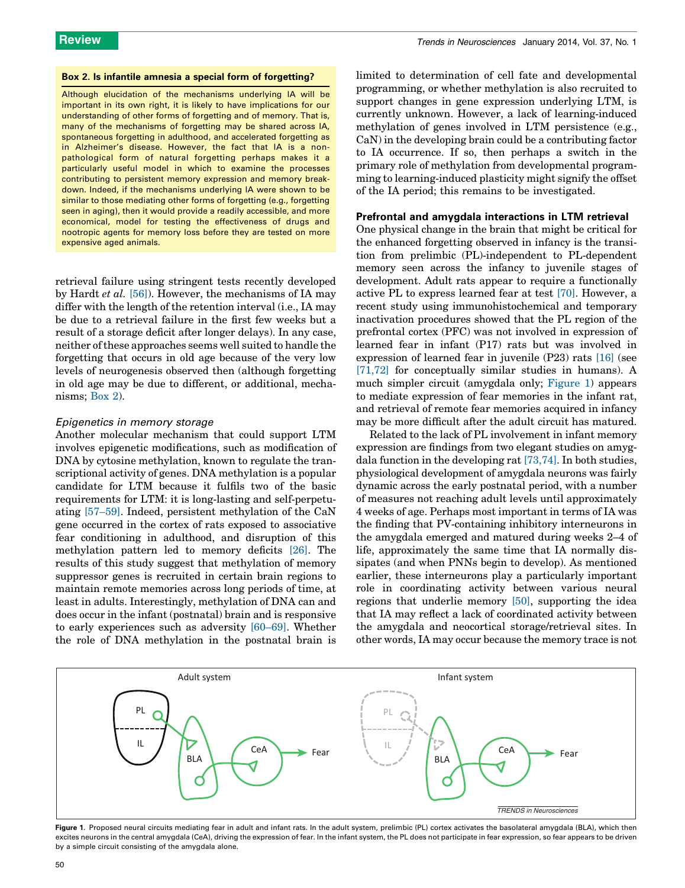#### <span id="page-3-0"></span>Box 2. Is infantile amnesia a special form of forgetting?

Although elucidation of the mechanisms underlying IA will be important in its own right, it is likely to have implications for our understanding of other forms of forgetting and of memory. That is, many of the mechanisms of forgetting may be shared across IA, spontaneous forgetting in adulthood, and accelerated forgetting as in Alzheimer's disease. However, the fact that IA is a nonpathological form of natural forgetting perhaps makes it a particularly useful model in which to examine the processes contributing to persistent memory expression and memory breakdown. Indeed, if the mechanisms underlying IA were shown to be similar to those mediating other forms of forgetting (e.g., forgetting seen in aging), then it would provide a readily accessible, and more economical, model for testing the effectiveness of drugs and nootropic agents for memory loss before they are tested on more expensive aged animals.

retrieval failure using stringent tests recently developed by Hardt et al. [\[56\]](#page-6-0)). However, the mechanisms of IA may differ with the length of the retention interval (i.e., IA may be due to a retrieval failure in the first few weeks but a result of a storage deficit after longer delays). In any case, neither of these approaches seems well suited to handle the forgetting that occurs in old age because of the very low levels of neurogenesis observed then (although forgetting in old age may be due to different, or additional, mechanisms; Box 2).

#### Epigenetics in memory storage

Another molecular mechanism that could support LTM involves epigenetic modifications, such as modification of DNA by cytosine methylation, known to regulate the transcriptional activity of genes. DNA methylation is a popular candidate for LTM because it fulfils two of the basic requirements for LTM: it is long-lasting and self-perpetuating [\[57–59\].](#page-6-0) Indeed, persistent methylation of the CaN gene occurred in the cortex of rats exposed to associative fear conditioning in adulthood, and disruption of this methylation pattern led to memory deficits [\[26\]](#page-5-0). The results of this study suggest that methylation of memory suppressor genes is recruited in certain brain regions to maintain remote memories across long periods of time, at least in adults. Interestingly, methylation of DNA can and does occur in the infant (postnatal) brain and is responsive to early experiences such as adversity [\[60–69\]](#page-6-0). Whether the role of DNA methylation in the postnatal brain is limited to determination of cell fate and developmental programming, or whether methylation is also recruited to support changes in gene expression underlying LTM, is currently unknown. However, a lack of learning-induced methylation of genes involved in LTM persistence (e.g., CaN) in the developing brain could be a contributing factor to IA occurrence. If so, then perhaps a switch in the primary role of methylation from developmental programming to learning-induced plasticity might signify the offset of the IA period; this remains to be investigated.

#### Prefrontal and amygdala interactions in LTM retrieval

One physical change in the brain that might be critical for the enhanced forgetting observed in infancy is the transition from prelimbic (PL)-independent to PL-dependent memory seen across the infancy to juvenile stages of development. Adult rats appear to require a functionally active PL to express learned fear at test [\[70\].](#page-6-0) However, a recent study using immunohistochemical and temporary inactivation procedures showed that the PL region of the prefrontal cortex (PFC) was not involved in expression of learned fear in infant (P17) rats but was involved in expression of learned fear in juvenile (P23) rats [\[16\]](#page-5-0) (see [\[71,72\]](#page-6-0) for conceptually similar studies in humans). A much simpler circuit (amygdala only; Figure 1) appears to mediate expression of fear memories in the infant rat, and retrieval of remote fear memories acquired in infancy may be more difficult after the adult circuit has matured.

Related to the lack of PL involvement in infant memory expression are findings from two elegant studies on amygdala function in the developing rat [\[73,74\]](#page-6-0). In both studies, physiological development of amygdala neurons was fairly dynamic across the early postnatal period, with a number of measures not reaching adult levels until approximately 4 weeks of age. Perhaps most important in terms of IA was the finding that PV-containing inhibitory interneurons in the amygdala emerged and matured during weeks 2–4 of life, approximately the same time that IA normally dissipates (and when PNNs begin to develop). As mentioned earlier, these interneurons play a particularly important role in coordinating activity between various neural regions that underlie memory [\[50\]](#page-5-0), supporting the idea that IA may reflect a lack of coordinated activity between the amygdala and neocortical storage/retrieval sites. In other words, IA may occur because the memory trace is not



Figure 1. Proposed neural circuits mediating fear in adult and infant rats. In the adult system, prelimbic (PL) cortex activates the basolateral amygdala (BLA), which then excites neurons in the central amygdala (CeA), driving the expression of fear. In the infant system, the PL does not participate in fear expression, so fear appears to be driven by a simple circuit consisting of the amygdala alone.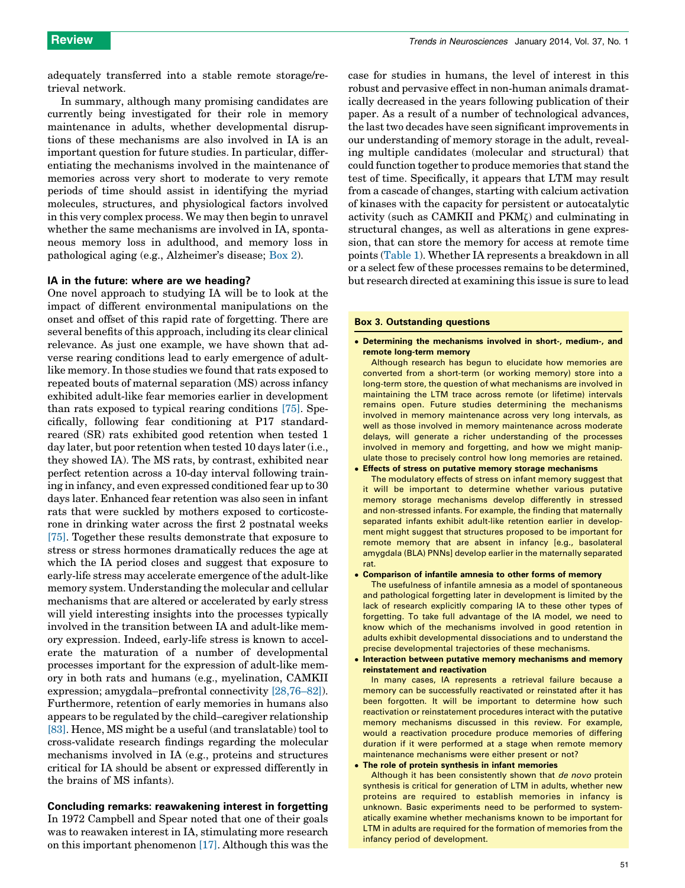<span id="page-4-0"></span>adequately transferred into a stable remote storage/retrieval network.

In summary, although many promising candidates are currently being investigated for their role in memory maintenance in adults, whether developmental disruptions of these mechanisms are also involved in IA is an important question for future studies. In particular, differentiating the mechanisms involved in the maintenance of memories across very short to moderate to very remote periods of time should assist in identifying the myriad molecules, structures, and physiological factors involved in this very complex process. We may then begin to unravel whether the same mechanisms are involved in IA, spontaneous memory loss in adulthood, and memory loss in pathological aging (e.g., Alzheimer's disease; [Box](#page-3-0) 2).

# IA in the future: where are we heading?

One novel approach to studying IA will be to look at the impact of different environmental manipulations on the onset and offset of this rapid rate of forgetting. There are several benefits of this approach, including its clear clinical relevance. As just one example, we have shown that adverse rearing conditions lead to early emergence of adultlike memory. In those studies we found that rats exposed to repeated bouts of maternal separation (MS) across infancy exhibited adult-like fear memories earlier in development than rats exposed to typical rearing conditions [\[75\].](#page-6-0) Specifically, following fear conditioning at P17 standardreared (SR) rats exhibited good retention when tested 1 day later, but poor retention when tested 10 days later (i.e., they showed IA). The MS rats, by contrast, exhibited near perfect retention across a 10-day interval following training in infancy, and even expressed conditioned fear up to 30 days later. Enhanced fear retention was also seen in infant rats that were suckled by mothers exposed to corticosterone in drinking water across the first 2 postnatal weeks [\[75\]](#page-6-0). Together these results demonstrate that exposure to stress or stress hormones dramatically reduces the age at which the IA period closes and suggest that exposure to early-life stress may accelerate emergence of the adult-like memory system. Understanding the molecular and cellular mechanisms that are altered or accelerated by early stress will yield interesting insights into the processes typically involved in the transition between IA and adult-like memory expression. Indeed, early-life stress is known to accelerate the maturation of a number of developmental processes important for the expression of adult-like memory in both rats and humans (e.g., myelination, CAMKII expression; amygdala–prefrontal connectivity [\[28,76–82\]\)](#page-5-0). Furthermore, retention of early memories in humans also appears to be regulated by the child–caregiver relationship [\[83\]](#page-6-0). Hence, MS might be a useful (and translatable) tool to cross-validate research findings regarding the molecular mechanisms involved in IA (e.g., proteins and structures critical for IA should be absent or expressed differently in the brains of MS infants).

# Concluding remarks: reawakening interest in forgetting

In 1972 Campbell and Spear noted that one of their goals was to reawaken interest in IA, stimulating more research on this important phenomenon [\[17\]](#page-5-0). Although this was the

case for studies in humans, the level of interest in this robust and pervasive effect in non-human animals dramatically decreased in the years following publication of their paper. As a result of a number of technological advances, the lasttwo decades have seen significant improvements in our understanding of memory storage in the adult, revealing multiple candidates (molecular and structural) that could function together to produce memories that stand the test of time. Specifically, it appears that LTM may result from a cascade of changes, starting with calcium activation of kinases with the capacity for persistent or autocatalytic activity (such as CAMKII and PKMz) and culminating in structural changes, as well as alterations in gene expression, that can store the memory for access at remote time points [\(Table](#page-2-0) 1). Whether IA represents a breakdown in all or a select few of these processes remains to be determined, but research directed at examining this issue is sure to lead

#### Box 3. Outstanding questions

- Determining the mechanisms involved in short-, medium-, and remote long-term memory

Although research has begun to elucidate how memories are converted from a short-term (or working memory) store into a long-term store, the question of what mechanisms are involved in maintaining the LTM trace across remote (or lifetime) intervals remains open. Future studies determining the mechanisms involved in memory maintenance across very long intervals, as well as those involved in memory maintenance across moderate delays, will generate a richer understanding of the processes involved in memory and forgetting, and how we might manipulate those to precisely control how long memories are retained.

• Effects of stress on putative memory storage mechanisms

The modulatory effects of stress on infant memory suggest that it will be important to determine whether various putative memory storage mechanisms develop differently in stressed and non-stressed infants. For example, the finding that maternally separated infants exhibit adult-like retention earlier in development might suggest that structures proposed to be important for remote memory that are absent in infancy [e.g., basolateral amygdala (BLA) PNNs] develop earlier in the maternally separated rat.

• Comparison of infantile amnesia to other forms of memory

The usefulness of infantile amnesia as a model of spontaneous and pathological forgetting later in development is limited by the lack of research explicitly comparing IA to these other types of forgetting. To take full advantage of the IA model, we need to know which of the mechanisms involved in good retention in adults exhibit developmental dissociations and to understand the precise developmental trajectories of these mechanisms.

• Interaction between putative memory mechanisms and memory reinstatement and reactivation

In many cases, IA represents a retrieval failure because a memory can be successfully reactivated or reinstated after it has been forgotten. It will be important to determine how such reactivation or reinstatement procedures interact with the putative memory mechanisms discussed in this review. For example, would a reactivation procedure produce memories of differing duration if it were performed at a stage when remote memory maintenance mechanisms were either present or not?

#### • The role of protein synthesis in infant memories

Although it has been consistently shown that de novo protein synthesis is critical for generation of LTM in adults, whether new proteins are required to establish memories in infancy is unknown. Basic experiments need to be performed to systematically examine whether mechanisms known to be important for LTM in adults are required for the formation of memories from the infancy period of development.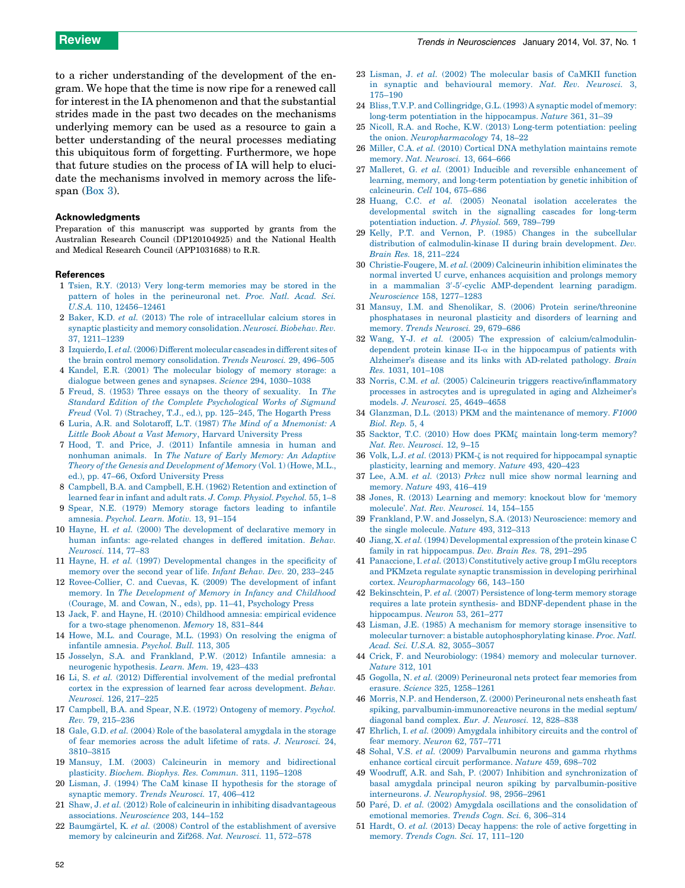<span id="page-5-0"></span>to a richer understanding of the development of the engram. We hope that the time is now ripe for a renewed call for interest in the IA phenomenon and that the substantial strides made in the past two decades on the mechanisms underlying memory can be used as a resource to gain a better understanding of the neural processes mediating this ubiquitous form of forgetting. Furthermore, we hope that future studies on the process of IA will help to elucidate the mechanisms involved in memory across the life-span ([Box](#page-4-0) 3).

#### Acknowledgments

Preparation of this manuscript was supported by grants from the Australian Research Council (DP120104925) and the National Health and Medical Research Council (APP1031688) to R.R.

#### References

- 1 Tsien, R.Y. (2013) Very [long-term](http://refhub.elsevier.com/S0166-2236(13)00211-7/sbref0005) memories may be stored in the pattern of holes in the [perineuronal](http://refhub.elsevier.com/S0166-2236(13)00211-7/sbref0005) net. Proc. Natl. Acad. Sci. U.S.A. 110, [12456–12461](http://refhub.elsevier.com/S0166-2236(13)00211-7/sbref0005)
- 2 Baker, K.D. et al. (2013) The role of [intracellular](http://refhub.elsevier.com/S0166-2236(13)00211-7/sbref0010) calcium stores in synaptic plasticity and memory [consolidation.](http://refhub.elsevier.com/S0166-2236(13)00211-7/sbref0010) Neurosci. Biobehav. Rev. 37, [1211–1239](http://refhub.elsevier.com/S0166-2236(13)00211-7/sbref0010)
- 3 [Izquierdo,](http://refhub.elsevier.com/S0166-2236(13)00211-7/sbref0015) I. et al. (2006) Different molecular cascades in different sites of the brain control memory [consolidation.](http://refhub.elsevier.com/S0166-2236(13)00211-7/sbref0015) Trends Neurosci. 29, 496–505
- 4 Kandel, E.R. (2001) The [molecular](http://refhub.elsevier.com/S0166-2236(13)00211-7/sbref0020) biology of memory storage: a dialogue between genes and synapses. Science 294, [1030–1038](http://refhub.elsevier.com/S0166-2236(13)00211-7/sbref0020)
- 5 Freud, S. (1953) Three essays on the theory of [sexuality.](http://refhub.elsevier.com/S0166-2236(13)00211-7/sbref0025) In The Standard Edition of the Complete [Psychological](http://refhub.elsevier.com/S0166-2236(13)00211-7/sbref0025) Works of Sigmund Freud (Vol. 7) [\(Strachey,](http://refhub.elsevier.com/S0166-2236(13)00211-7/sbref0025) T.J., ed.), pp. 125–245, The Hogarth Press
- 6 Luria, A.R. and Solotaroff, L.T. (1987) The Mind of a [Mnemonist:](http://refhub.elsevier.com/S0166-2236(13)00211-7/sbref0030) A Little Book About a Vast Memory, Harvard [University](http://refhub.elsevier.com/S0166-2236(13)00211-7/sbref0030) Press
- 7 Hood, T. and Price, J. (2011) [Infantile](http://refhub.elsevier.com/S0166-2236(13)00211-7/sbref0035) amnesia in human and [nonhuman](http://refhub.elsevier.com/S0166-2236(13)00211-7/sbref0035) animals. In The Nature of Early Memory: An Adaptive Theory of the Genesis and [Development](http://refhub.elsevier.com/S0166-2236(13)00211-7/sbref0035) of Memory (Vol. 1) (Howe, M.L., ed.), pp. 47–66, Oxford [University](http://refhub.elsevier.com/S0166-2236(13)00211-7/sbref0035) Press
- 8 [Campbell,](http://refhub.elsevier.com/S0166-2236(13)00211-7/sbref0040) B.A. and Campbell, E.H. (1962) Retention and extinction of learned fear in infant and adult rats. J. Comp. Physiol. [Psychol.](http://refhub.elsevier.com/S0166-2236(13)00211-7/sbref0040) 55, 1–8
- 9 Spear, N.E. (1979) Memory storage factors leading to [infantile](http://refhub.elsevier.com/S0166-2236(13)00211-7/sbref0045) [amnesia.](http://refhub.elsevier.com/S0166-2236(13)00211-7/sbref0045) Psychol. Learn. Motiv. 13, 91–154
- 10 Hayne, H. et al. (2000) The [development](http://refhub.elsevier.com/S0166-2236(13)00211-7/sbref0050) of declarative memory in human infants: [age-related](http://refhub.elsevier.com/S0166-2236(13)00211-7/sbref0050) changes in deffered imitation. Behav. [Neurosci.](http://refhub.elsevier.com/S0166-2236(13)00211-7/sbref0050) 114, 77–83
- 11 Hayne, H. et al. (1997) [Developmental](http://refhub.elsevier.com/S0166-2236(13)00211-7/sbref0055) changes in the specificity of memory over the second year of life. Infant Behav. Dev. 20, [233–245](http://refhub.elsevier.com/S0166-2236(13)00211-7/sbref0055)
- 12 [Rovee-Collier,](http://refhub.elsevier.com/S0166-2236(13)00211-7/sbref0060) C. and Cuevas, K. (2009) The development of infant memory. In The [Development](http://refhub.elsevier.com/S0166-2236(13)00211-7/sbref0060) of Memory in Infancy and Childhood (Courage, M. and Cowan, N., eds), pp. 11–41, [Psychology](http://refhub.elsevier.com/S0166-2236(13)00211-7/sbref0060) Press
- 13 Jack, F. and Hayne, H. (2010) [Childhood](http://refhub.elsevier.com/S0166-2236(13)00211-7/sbref0065) amnesia: empirical evidence for a two-stage [phenomenon.](http://refhub.elsevier.com/S0166-2236(13)00211-7/sbref0065) Memory 18, 831–844
- 14 Howe, M.L. and Courage, M.L. (1993) On [resolving](http://refhub.elsevier.com/S0166-2236(13)00211-7/sbref0070) the enigma of infantile [amnesia.](http://refhub.elsevier.com/S0166-2236(13)00211-7/sbref0070) Psychol. Bull. 113, 305
- 15 Josselyn, S.A. and [Frankland,](http://refhub.elsevier.com/S0166-2236(13)00211-7/sbref0075) P.W. (2012) Infantile amnesia: a neurogenic [hypothesis.](http://refhub.elsevier.com/S0166-2236(13)00211-7/sbref0075) Learn. Mem. 19, 423–433
- 16 Li, S. et al. (2012) Differential [involvement](http://refhub.elsevier.com/S0166-2236(13)00211-7/sbref0080) of the medial prefrontal cortex in the expression of learned fear across [development.](http://refhub.elsevier.com/S0166-2236(13)00211-7/sbref0080) Behav. [Neurosci.](http://refhub.elsevier.com/S0166-2236(13)00211-7/sbref0080) 126, 217–225
- 17 [Campbell,](http://refhub.elsevier.com/S0166-2236(13)00211-7/sbref0085) B.A. and Spear, N.E. (1972) Ontogeny of memory. Psychol. Rev. 79, [215–236](http://refhub.elsevier.com/S0166-2236(13)00211-7/sbref0085)
- 18 Gale, G.D. et al. (2004) Role of the [basolateral](http://refhub.elsevier.com/S0166-2236(13)00211-7/sbref0090) amygdala in the storage of fear [memories](http://refhub.elsevier.com/S0166-2236(13)00211-7/sbref0090) across the adult lifetime of rats. J. Neurosci. 24, [3810–3815](http://refhub.elsevier.com/S0166-2236(13)00211-7/sbref0090)
- 19 Mansuy, I.M. (2003) Calcineurin in memory and [bidirectional](http://refhub.elsevier.com/S0166-2236(13)00211-7/sbref0095) plasticity. Biochem. Biophys. Res. Commun. 311, [1195–1208](http://refhub.elsevier.com/S0166-2236(13)00211-7/sbref0095)
- 20 Lisman, J. (1994) The CaM kinase II [hypothesis](http://refhub.elsevier.com/S0166-2236(13)00211-7/sbref0100) for the storage of synaptic memory. Trends [Neurosci.](http://refhub.elsevier.com/S0166-2236(13)00211-7/sbref0100) 17, 406–412
- 21 Shaw, J. et al. (2012) Role of calcineurin in inhibiting [disadvantageous](http://refhub.elsevier.com/S0166-2236(13)00211-7/sbref0105) associations. [Neuroscience](http://refhub.elsevier.com/S0166-2236(13)00211-7/sbref0105) 203, 144–152
- 22 Baumgärtel, K. et al.  $(2008)$  Control of the [establishment](http://refhub.elsevier.com/S0166-2236(13)00211-7/sbref0110) of aversive memory by [calcineurin](http://refhub.elsevier.com/S0166-2236(13)00211-7/sbref0110) and Zif268. Nat. Neurosci. 11, 572–578
- 23 Lisman, J. et al. (2002) The [molecular](http://refhub.elsevier.com/S0166-2236(13)00211-7/sbref0115) basis of CaMKII function in synaptic and [behavioural](http://refhub.elsevier.com/S0166-2236(13)00211-7/sbref0115) memory. Nat. Rev. Neurosci. 3, [175–190](http://refhub.elsevier.com/S0166-2236(13)00211-7/sbref0115)
- 24 Bliss, T.V.P. and [Collingridge,](http://refhub.elsevier.com/S0166-2236(13)00211-7/sbref0120) G.L. (1993) A synaptic model of memory: long-term potentiation in the [hippocampus.](http://refhub.elsevier.com/S0166-2236(13)00211-7/sbref0120) Nature 361, 31–39
- 25 Nicoll, R.A. and Roche, K.W. (2013) Long-term [potentiation:](http://refhub.elsevier.com/S0166-2236(13)00211-7/sbref0125) peeling the onion. [Neuropharmacology](http://refhub.elsevier.com/S0166-2236(13)00211-7/sbref0125) 74, 18–22
- 26 Miller, C.A. et al. (2010) Cortical DNA [methylation](http://refhub.elsevier.com/S0166-2236(13)00211-7/sbref0130) maintains remote memory. Nat. [Neurosci.](http://refhub.elsevier.com/S0166-2236(13)00211-7/sbref0130) 13, 664–666
- 27 Malleret, G. et al. (2001) Inducible and reversible [enhancement](http://refhub.elsevier.com/S0166-2236(13)00211-7/sbref0135) of learning, memory, and long-term [potentiation](http://refhub.elsevier.com/S0166-2236(13)00211-7/sbref0135) by genetic inhibition of [calcineurin.](http://refhub.elsevier.com/S0166-2236(13)00211-7/sbref0135) Cell 104, 675–686
- 28 Huang, C.C. et al. (2005) Neonatal isolation [accelerates](http://refhub.elsevier.com/S0166-2236(13)00211-7/sbref0140) the [developmental](http://refhub.elsevier.com/S0166-2236(13)00211-7/sbref0140) switch in the signalling cascades for long-term [potentiation](http://refhub.elsevier.com/S0166-2236(13)00211-7/sbref0140) induction. J. Physiol. 569, 789–799
- 29 Kelly, P.T. and Vernon, P. (1985) Changes in the [subcellular](http://refhub.elsevier.com/S0166-2236(13)00211-7/sbref0145) distribution of [calmodulin-kinase](http://refhub.elsevier.com/S0166-2236(13)00211-7/sbref0145) II during brain development. Dev. Brain Res. 18, [211–224](http://refhub.elsevier.com/S0166-2236(13)00211-7/sbref0145)
- 30 [Christie-Fougere,](http://refhub.elsevier.com/S0166-2236(13)00211-7/sbref0150) M. et al. (2009) Calcineurin inhibition eliminates the normal inverted U curve, enhances [acquisition](http://refhub.elsevier.com/S0166-2236(13)00211-7/sbref0150) and prolongs memory in a [mammalian](http://refhub.elsevier.com/S0166-2236(13)00211-7/sbref0150) 3'[-5](http://refhub.elsevier.com/S0166-2236(13)00211-7/sbref0150)'-cyclic [AMP-dependent](http://refhub.elsevier.com/S0166-2236(13)00211-7/sbref0150) learning paradigm. [Neuroscience](http://refhub.elsevier.com/S0166-2236(13)00211-7/sbref0150) 158, 1277–1283
- 31 Mansuy, I.M. and Shenolikar, S. (2006) Protein [serine/threonine](http://refhub.elsevier.com/S0166-2236(13)00211-7/sbref0155) [phosphatases](http://refhub.elsevier.com/S0166-2236(13)00211-7/sbref0155) in neuronal plasticity and disorders of learning and memory. Trends [Neurosci.](http://refhub.elsevier.com/S0166-2236(13)00211-7/sbref0155) 29, 679–686
- 32 Wang, Y-J. et al. (2005) The expression of [calcium/calmodulin](http://refhub.elsevier.com/S0166-2236(13)00211-7/sbref0160)dependent protein kinase  $II$ - $\alpha$  in the [hippocampus](http://refhub.elsevier.com/S0166-2236(13)00211-7/sbref0160) of patients with [Alzheimer's](http://refhub.elsevier.com/S0166-2236(13)00211-7/sbref0160) disease and its links with AD-related pathology. Brain Res. 1031, [101–108](http://refhub.elsevier.com/S0166-2236(13)00211-7/sbref0160)
- 33 Norris, C.M. et al. (2005) Calcineurin triggers [reactive/inflammatory](http://refhub.elsevier.com/S0166-2236(13)00211-7/sbref0165) processes in astrocytes and is [upregulated](http://refhub.elsevier.com/S0166-2236(13)00211-7/sbref0165) in aging and Alzheimer's models. J. Neurosci. 25, [4649–4658](http://refhub.elsevier.com/S0166-2236(13)00211-7/sbref0165)
- 34 Glanzman, D.L. (2013) PKM and the [maintenance](http://refhub.elsevier.com/S0166-2236(13)00211-7/sbref0170) of memory. F1000 [Biol.](http://refhub.elsevier.com/S0166-2236(13)00211-7/sbref0170) Rep. 5, 4
- 35 Sacktor, T.C. (2010) How does PKMz maintain [long-term](http://refhub.elsevier.com/S0166-2236(13)00211-7/sbref0175) memory? Nat. Rev. [Neurosci.](http://refhub.elsevier.com/S0166-2236(13)00211-7/sbref0175) 12, 9–15
- 36 Volk, L.J. et al. (2013) PKM- $\zeta$  is not required for [hippocampal](http://refhub.elsevier.com/S0166-2236(13)00211-7/sbref0180) synaptic [plasticity,](http://refhub.elsevier.com/S0166-2236(13)00211-7/sbref0180) learning and memory. Nature 493, 420–423
- 37 Lee, A.M. et al. (2013) Prkcz null mice show normal [learning](http://refhub.elsevier.com/S0166-2236(13)00211-7/sbref0185) and [memory.](http://refhub.elsevier.com/S0166-2236(13)00211-7/sbref0185) Nature 493, 416–419
- 38 Jones, R. (2013) [Learning](http://refhub.elsevier.com/S0166-2236(13)00211-7/sbref0190) and memory: knockout blow for 'memory [molecule'.](http://refhub.elsevier.com/S0166-2236(13)00211-7/sbref0190) Nat. Rev. Neurosci. 14, 154–155
- 39 Frankland, P.W. and Josselyn, S.A. (2013) [Neuroscience:](http://refhub.elsevier.com/S0166-2236(13)00211-7/sbref0195) memory and the single [molecule.](http://refhub.elsevier.com/S0166-2236(13)00211-7/sbref0195) Nature 493, 312–313
- 40 Jiang, X. et al. (1994) [Developmental](http://refhub.elsevier.com/S0166-2236(13)00211-7/sbref0200) expression of the protein kinase C family in rat [hippocampus.](http://refhub.elsevier.com/S0166-2236(13)00211-7/sbref0200) Dev. Brain Res. 78, 291–295
- 41 Panaccione, I. et al. (2013) [Constitutively](http://refhub.elsevier.com/S0166-2236(13)00211-7/sbref0205) active group I mGlu receptors and PKMzeta regulate synaptic [transmission](http://refhub.elsevier.com/S0166-2236(13)00211-7/sbref0205) in developing perirhinal cortex. [Neuropharmacology](http://refhub.elsevier.com/S0166-2236(13)00211-7/sbref0205) 66, 143–150
- 42 [Bekinschtein,](http://refhub.elsevier.com/S0166-2236(13)00211-7/sbref0210) P. et al. (2007) Persistence of long-term memory storage requires a late protein synthesis- and [BDNF-dependent](http://refhub.elsevier.com/S0166-2236(13)00211-7/sbref0210) phase in the [hippocampus.](http://refhub.elsevier.com/S0166-2236(13)00211-7/sbref0210) Neuron 53, 261–277
- 43 Lisman, J.E. (1985) A [mechanism](http://refhub.elsevier.com/S0166-2236(13)00211-7/sbref0215) for memory storage insensitive to molecular turnover: a bistable [autophosphorylating](http://refhub.elsevier.com/S0166-2236(13)00211-7/sbref0215) kinase. Proc. Natl. Acad. Sci. U.S.A. 82, [3055–3057](http://refhub.elsevier.com/S0166-2236(13)00211-7/sbref0215)
- 44 Crick, F. and [Neurobiology:](http://refhub.elsevier.com/S0166-2236(13)00211-7/sbref0220) (1984) memory and molecular turnover. [Nature](http://refhub.elsevier.com/S0166-2236(13)00211-7/sbref0220) 312, 101
- 45 Gogolla, N. et al. (2009) [Perineuronal](http://refhub.elsevier.com/S0166-2236(13)00211-7/sbref0225) nets protect fear memories from erasure. Science 325, [1258–1261](http://refhub.elsevier.com/S0166-2236(13)00211-7/sbref0225)
- 46 Morris, N.P. and Henderson, Z. (2000) [Perineuronal](http://refhub.elsevier.com/S0166-2236(13)00211-7/sbref0230) nets ensheath fast spiking, [parvalbumin-immunoreactive](http://refhub.elsevier.com/S0166-2236(13)00211-7/sbref0230) neurons in the medial septum/ diagonal band complex. Eur. J. [Neurosci.](http://refhub.elsevier.com/S0166-2236(13)00211-7/sbref0230) 12, 828–838
- 47 Ehrlich, I. et al. (2009) [Amygdala](http://refhub.elsevier.com/S0166-2236(13)00211-7/sbref0235) inhibitory circuits and the control of fear [memory.](http://refhub.elsevier.com/S0166-2236(13)00211-7/sbref0235) Neuron 62, 757–771
- 48 Sohal, V.S. et al. (2009) [Parvalbumin](http://refhub.elsevier.com/S0166-2236(13)00211-7/sbref0240) neurons and gamma rhythms enhance cortical circuit [performance.](http://refhub.elsevier.com/S0166-2236(13)00211-7/sbref0240) Nature 459, 698–702
- 49 Woodruff, A.R. and Sah, P. (2007) Inhibition and [synchronization](http://refhub.elsevier.com/S0166-2236(13)00211-7/sbref0245) of basal amygdala principal neuron spiking by [parvalbumin-positive](http://refhub.elsevier.com/S0166-2236(13)00211-7/sbref0245) interneurons. J. [Neurophysiol.](http://refhub.elsevier.com/S0166-2236(13)00211-7/sbref0245) 98, 2956–2961
- 50 Paré, D. et al. (2002) Amygdala oscillations and the [consolidation](http://refhub.elsevier.com/S0166-2236(13)00211-7/sbref0250) of emotional [memories.](http://refhub.elsevier.com/S0166-2236(13)00211-7/sbref0250) Trends Cogn. Sci. 6, 306–314
- 51 Hardt, O. et al. (2013) Decay happens: the role of active [forgetting](http://refhub.elsevier.com/S0166-2236(13)00211-7/sbref0255) in [memory.](http://refhub.elsevier.com/S0166-2236(13)00211-7/sbref0255) Trends Cogn. Sci. 17, 111–120